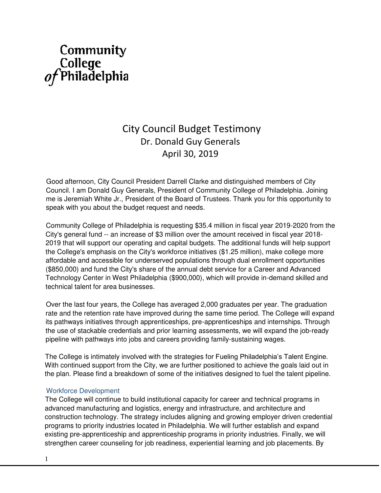# Community College<br> *of* Philadelphia

# City Council Budget Testimony Dr. Donald Guy Generals April 30, 2019

Good afternoon, City Council President Darrell Clarke and distinguished members of City Council. I am Donald Guy Generals, President of Community College of Philadelphia. Joining me is Jeremiah White Jr., President of the Board of Trustees. Thank you for this opportunity to speak with you about the budget request and needs.

Community College of Philadelphia is requesting \$35.4 million in fiscal year 2019-2020 from the City's general fund -- an increase of \$3 million over the amount received in fiscal year 2018- 2019 that will support our operating and capital budgets. The additional funds will help support the College's emphasis on the City's workforce initiatives (\$1.25 million), make college more affordable and accessible for underserved populations through dual enrollment opportunities (\$850,000) and fund the City's share of the annual debt service for a Career and Advanced Technology Center in West Philadelphia (\$900,000), which will provide in-demand skilled and technical talent for area businesses.

Over the last four years, the College has averaged 2,000 graduates per year. The graduation rate and the retention rate have improved during the same time period. The College will expand its pathways initiatives through apprenticeships, pre-apprenticeships and internships. Through the use of stackable credentials and prior learning assessments, we will expand the job-ready pipeline with pathways into jobs and careers providing family-sustaining wages.

The College is intimately involved with the strategies for Fueling Philadelphia's Talent Engine. With continued support from the City, we are further positioned to achieve the goals laid out in the plan. Please find a breakdown of some of the initiatives designed to fuel the talent pipeline.

# Workforce Development

The College will continue to build institutional capacity for career and technical programs in advanced manufacturing and logistics, energy and infrastructure, and architecture and construction technology. The strategy includes aligning and growing employer driven credential programs to priority industries located in Philadelphia. We will further establish and expand existing pre-apprenticeship and apprenticeship programs in priority industries. Finally, we will strengthen career counseling for job readiness, experiential learning and job placements. By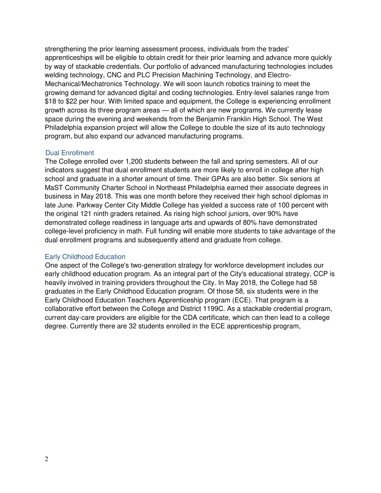strengthening the prior learning assessment process, individuals from the trades' apprenticeships will be eligible to obtain credit for their prior learning and advance more quickly by way of stackable credentials. Our portfolio of advanced manufacturing technologies includes welding technology, CNC and PLC Precision Machining Technology, and Electro-Mechanical/Mechatronics Technology. We will soon launch robotics training to meet the growing demand for advanced digital and coding technologies. Entry-level salaries range from \$18 to \$22 per hour. With limited space and equipment, the College is experiencing enrollment growth across its three program areas — all of which are new programs. We currently lease space during the evening and weekends from the Benjamin Franklin High School. The West Philadelphia expansion project will allow the College to double the size of its auto technology program, but also expand our advanced manufacturing programs.

#### Dual Enrollment

The College enrolled over 1,200 students between the fall and spring semesters. All of our indicators suggest that dual enrollment students are more likely to enroll in college after high school and graduate in a shorter amount of time. Their GPAs are also better. Six seniors at MaST Community Charter School in Northeast Philadelphia earned their associate degrees in business in May 2018. This was one month before they received their high school diplomas in late June. Parkway Center City Middle College has yielded a success rate of 100 percent with the original 121 ninth graders retained. As rising high school juniors, over 90% have demonstrated college readiness in language arts and upwards of 80% have demonstrated college-level proficiency in math. Full funding will enable more students to take advantage of the dual enrollment programs and subsequently attend and graduate from college.

# Early Childhood Education

One aspect of the College's two-generation strategy for workforce development includes our early childhood education program. As an integral part of the City's educational strategy, CCP is heavily involved in training providers throughout the City. In May 2018, the College had 58 graduates in the Early Childhood Education program. Of those 58, six students were in the Early Childhood Education Teachers Apprenticeship program (ECE). That program is a collaborative effort between the College and District 1199C. As a stackable credential program, current day-care providers are eligible for the CDA certificate, which can then lead to a college degree. Currently there are 32 students enrolled in the ECE apprenticeship program,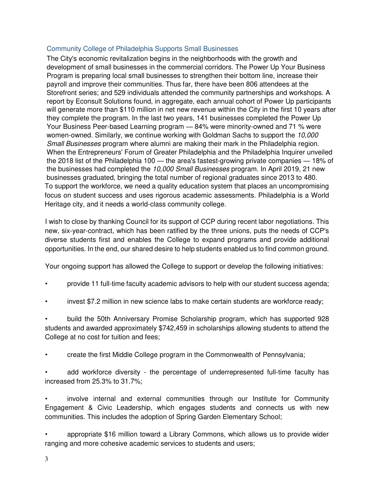# Community College of Philadelphia Supports Small Businesses

The City's economic revitalization begins in the neighborhoods with the growth and development of small businesses in the commercial corridors. The Power Up Your Business Program is preparing local small businesses to strengthen their bottom line, increase their payroll and improve their communities. Thus far, there have been 806 attendees at the Storefront series; and 529 individuals attended the community partnerships and workshops. A report by Econsult Solutions found, in aggregate, each annual cohort of Power Up participants will generate more than \$110 million in net new revenue within the City in the first 10 years after they complete the program. In the last two years, 141 businesses completed the Power Up Your Business Peer-based Learning program — 84% were minority-owned and 71 % were women-owned. Similarly, we continue working with Goldman Sachs to support the 10,000 Small Businesses program where alumni are making their mark in the Philadelphia region. When the Entrepreneurs' Forum of Greater Philadelphia and the Philadelphia Inquirer unveiled the 2018 list of the Philadelphia 100 — the area's fastest-growing private companies — 18% of the businesses had completed the 10,000 Small Businesses program. In April 2019, 21 new businesses graduated, bringing the total number of regional graduates since 2013 to 480. To support the workforce, we need a quality education system that places an uncompromising focus on student success and uses rigorous academic assessments. Philadelphia is a World Heritage city, and it needs a world-class community college.

I wish to close by thanking Council for its support of CCP during recent labor negotiations. This new, six-year-contract, which has been ratified by the three unions, puts the needs of CCP's diverse students first and enables the College to expand programs and provide additional opportunities. In the end, our shared desire to help students enabled us to find common ground.

Your ongoing support has allowed the College to support or develop the following initiatives:

- provide 11 full-time faculty academic advisors to help with our student success agenda;
- invest \$7.2 million in new science labs to make certain students are workforce ready;

• build the 50th Anniversary Promise Scholarship program, which has supported 928 students and awarded approximately \$742,459 in scholarships allowing students to attend the College at no cost for tuition and fees;

• create the first Middle College program in the Commonwealth of Pennsylvania;

add workforce diversity - the percentage of underrepresented full-time faculty has increased from 25.3% to 31.7%;

• involve internal and external communities through our Institute for Community Engagement & Civic Leadership, which engages students and connects us with new communities. This includes the adoption of Spring Garden Elementary School;

• appropriate \$16 million toward a Library Commons, which allows us to provide wider ranging and more cohesive academic services to students and users;